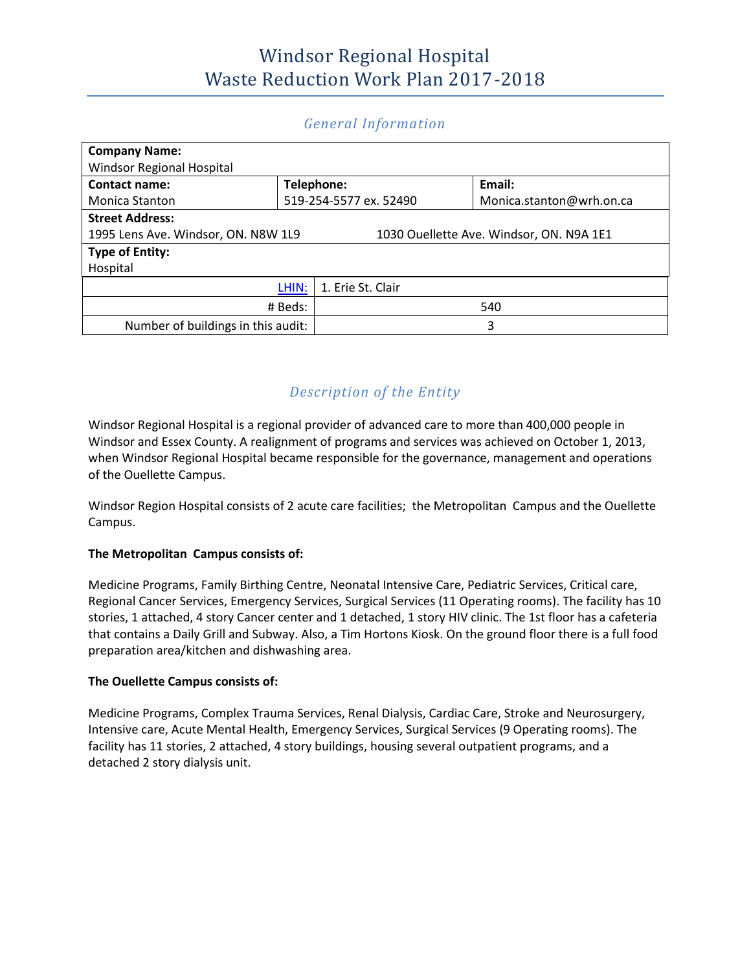#### *General Information*

| <b>Company Name:</b>                                                            |                        |                   |                          |  |
|---------------------------------------------------------------------------------|------------------------|-------------------|--------------------------|--|
| Windsor Regional Hospital                                                       |                        |                   |                          |  |
| <b>Contact name:</b>                                                            | Telephone:             |                   | Email:                   |  |
| <b>Monica Stanton</b>                                                           | 519-254-5577 ex. 52490 |                   | Monica.stanton@wrh.on.ca |  |
| <b>Street Address:</b>                                                          |                        |                   |                          |  |
| 1995 Lens Ave. Windsor, ON. N8W 1L9<br>1030 Ouellette Ave. Windsor, ON. N9A 1E1 |                        |                   |                          |  |
| <b>Type of Entity:</b>                                                          |                        |                   |                          |  |
| Hospital                                                                        |                        |                   |                          |  |
| LHIN:                                                                           |                        | 1. Erie St. Clair |                          |  |
| # Beds:                                                                         |                        | 540               |                          |  |
| Number of buildings in this audit:                                              |                        | 3                 |                          |  |

#### *Description of the Entity*

Windsor Regional Hospital is a regional provider of advanced care to more than 400,000 people in Windsor and Essex County. A realignment of programs and services was achieved on October 1, 2013, when Windsor Regional Hospital became responsible for the governance, management and operations of the Ouellette Campus.

Windsor Region Hospital consists of 2 acute care facilities; the Metropolitan Campus and the Ouellette Campus.

#### **The Metropolitan Campus consists of:**

Medicine Programs, Family Birthing Centre, Neonatal Intensive Care, Pediatric Services, Critical care, Regional Cancer Services, Emergency Services, Surgical Services (11 Operating rooms). The facility has 10 stories, 1 attached, 4 story Cancer center and 1 detached, 1 story HIV clinic. The 1st floor has a cafeteria that contains a Daily Grill and Subway. Also, a Tim Hortons Kiosk. On the ground floor there is a full food preparation area/kitchen and dishwashing area.

#### **The Ouellette Campus consists of:**

Medicine Programs, Complex Trauma Services, Renal Dialysis, Cardiac Care, Stroke and Neurosurgery, Intensive care, Acute Mental Health, Emergency Services, Surgical Services (9 Operating rooms). The facility has 11 stories, 2 attached, 4 story buildings, housing several outpatient programs, and a detached 2 story dialysis unit.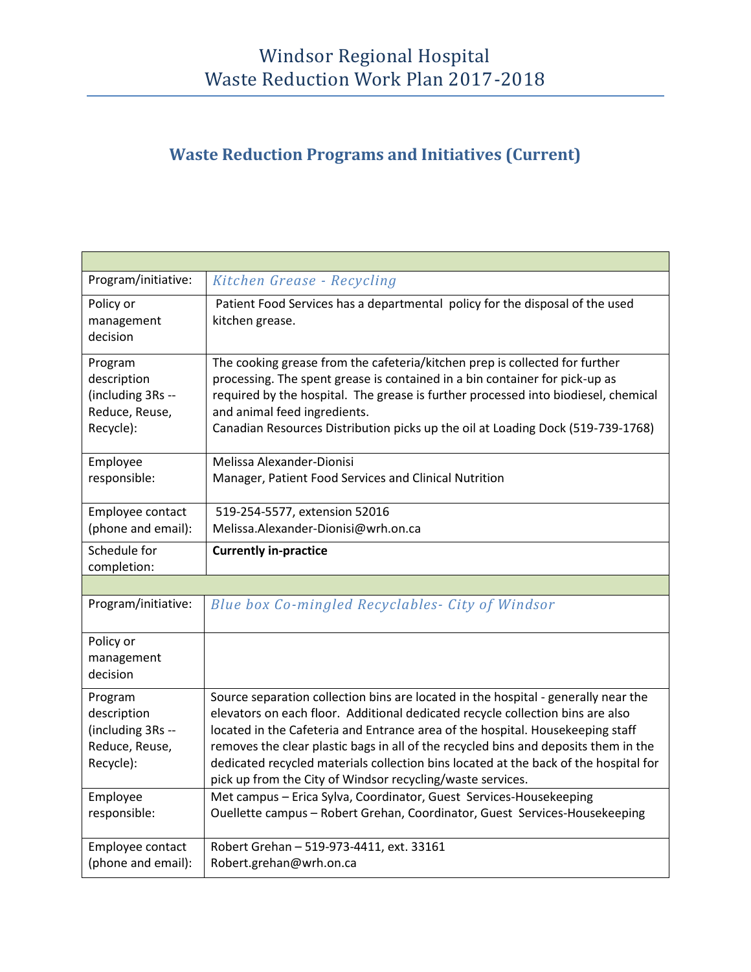# **Waste Reduction Programs and Initiatives (Current)**

| Program/initiative:              | Kitchen Grease - Recycling                                                                                                                                                  |
|----------------------------------|-----------------------------------------------------------------------------------------------------------------------------------------------------------------------------|
| Policy or<br>management          | Patient Food Services has a departmental policy for the disposal of the used<br>kitchen grease.                                                                             |
| decision                         |                                                                                                                                                                             |
| Program                          | The cooking grease from the cafeteria/kitchen prep is collected for further                                                                                                 |
| description<br>(including 3Rs -- | processing. The spent grease is contained in a bin container for pick-up as<br>required by the hospital. The grease is further processed into biodiesel, chemical           |
| Reduce, Reuse,                   | and animal feed ingredients.                                                                                                                                                |
| Recycle):                        | Canadian Resources Distribution picks up the oil at Loading Dock (519-739-1768)                                                                                             |
| Employee                         | Melissa Alexander-Dionisi                                                                                                                                                   |
| responsible:                     | Manager, Patient Food Services and Clinical Nutrition                                                                                                                       |
| Employee contact                 | 519-254-5577, extension 52016                                                                                                                                               |
| (phone and email):               | Melissa.Alexander-Dionisi@wrh.on.ca                                                                                                                                         |
| Schedule for                     | <b>Currently in-practice</b>                                                                                                                                                |
| completion:                      |                                                                                                                                                                             |
| Program/initiative:              |                                                                                                                                                                             |
|                                  | Blue box Co-mingled Recyclables- City of Windsor                                                                                                                            |
| Policy or                        |                                                                                                                                                                             |
| management<br>decision           |                                                                                                                                                                             |
| Program                          | Source separation collection bins are located in the hospital - generally near the                                                                                          |
| description                      | elevators on each floor. Additional dedicated recycle collection bins are also                                                                                              |
| (including 3Rs --                | located in the Cafeteria and Entrance area of the hospital. Housekeeping staff                                                                                              |
| Reduce, Reuse,<br>Recycle):      | removes the clear plastic bags in all of the recycled bins and deposits them in the<br>dedicated recycled materials collection bins located at the back of the hospital for |
|                                  | pick up from the City of Windsor recycling/waste services.                                                                                                                  |
| Employee                         | Met campus - Erica Sylva, Coordinator, Guest Services-Housekeeping                                                                                                          |
| responsible:                     | Ouellette campus - Robert Grehan, Coordinator, Guest Services-Housekeeping                                                                                                  |
| Employee contact                 | Robert Grehan - 519-973-4411, ext. 33161                                                                                                                                    |
| (phone and email):               | Robert.grehan@wrh.on.ca                                                                                                                                                     |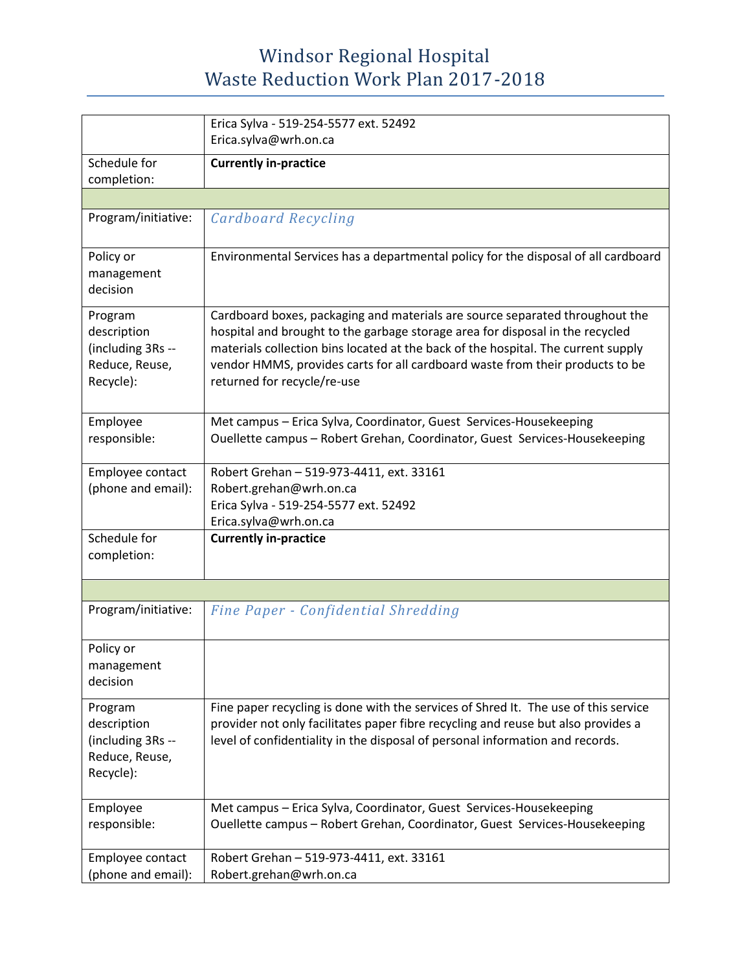|                                                                            | Erica Sylva - 519-254-5577 ext. 52492<br>Erica.sylva@wrh.on.ca                                                                                                                                                                                                                                                                                                     |
|----------------------------------------------------------------------------|--------------------------------------------------------------------------------------------------------------------------------------------------------------------------------------------------------------------------------------------------------------------------------------------------------------------------------------------------------------------|
| Schedule for                                                               |                                                                                                                                                                                                                                                                                                                                                                    |
| completion:                                                                | <b>Currently in-practice</b>                                                                                                                                                                                                                                                                                                                                       |
|                                                                            |                                                                                                                                                                                                                                                                                                                                                                    |
| Program/initiative:                                                        | Cardboard Recycling                                                                                                                                                                                                                                                                                                                                                |
| Policy or<br>management<br>decision                                        | Environmental Services has a departmental policy for the disposal of all cardboard                                                                                                                                                                                                                                                                                 |
| Program<br>description<br>(including 3Rs --<br>Reduce, Reuse,<br>Recycle): | Cardboard boxes, packaging and materials are source separated throughout the<br>hospital and brought to the garbage storage area for disposal in the recycled<br>materials collection bins located at the back of the hospital. The current supply<br>vendor HMMS, provides carts for all cardboard waste from their products to be<br>returned for recycle/re-use |
| Employee<br>responsible:                                                   | Met campus - Erica Sylva, Coordinator, Guest Services-Housekeeping<br>Ouellette campus - Robert Grehan, Coordinator, Guest Services-Housekeeping                                                                                                                                                                                                                   |
| Employee contact<br>(phone and email):                                     | Robert Grehan - 519-973-4411, ext. 33161<br>Robert.grehan@wrh.on.ca<br>Erica Sylva - 519-254-5577 ext. 52492<br>Erica.sylva@wrh.on.ca                                                                                                                                                                                                                              |
| Schedule for<br>completion:                                                | <b>Currently in-practice</b>                                                                                                                                                                                                                                                                                                                                       |
|                                                                            |                                                                                                                                                                                                                                                                                                                                                                    |
| Program/initiative:                                                        | Fine Paper - Confidential Shredding                                                                                                                                                                                                                                                                                                                                |
| Policy or<br>management<br>decision                                        |                                                                                                                                                                                                                                                                                                                                                                    |
| Program<br>description<br>(including 3Rs --<br>Reduce, Reuse,<br>Recycle): | Fine paper recycling is done with the services of Shred It. The use of this service<br>provider not only facilitates paper fibre recycling and reuse but also provides a<br>level of confidentiality in the disposal of personal information and records.                                                                                                          |
| Employee<br>responsible:                                                   | Met campus - Erica Sylva, Coordinator, Guest Services-Housekeeping<br>Ouellette campus - Robert Grehan, Coordinator, Guest Services-Housekeeping                                                                                                                                                                                                                   |
| Employee contact<br>(phone and email):                                     | Robert Grehan - 519-973-4411, ext. 33161<br>Robert.grehan@wrh.on.ca                                                                                                                                                                                                                                                                                                |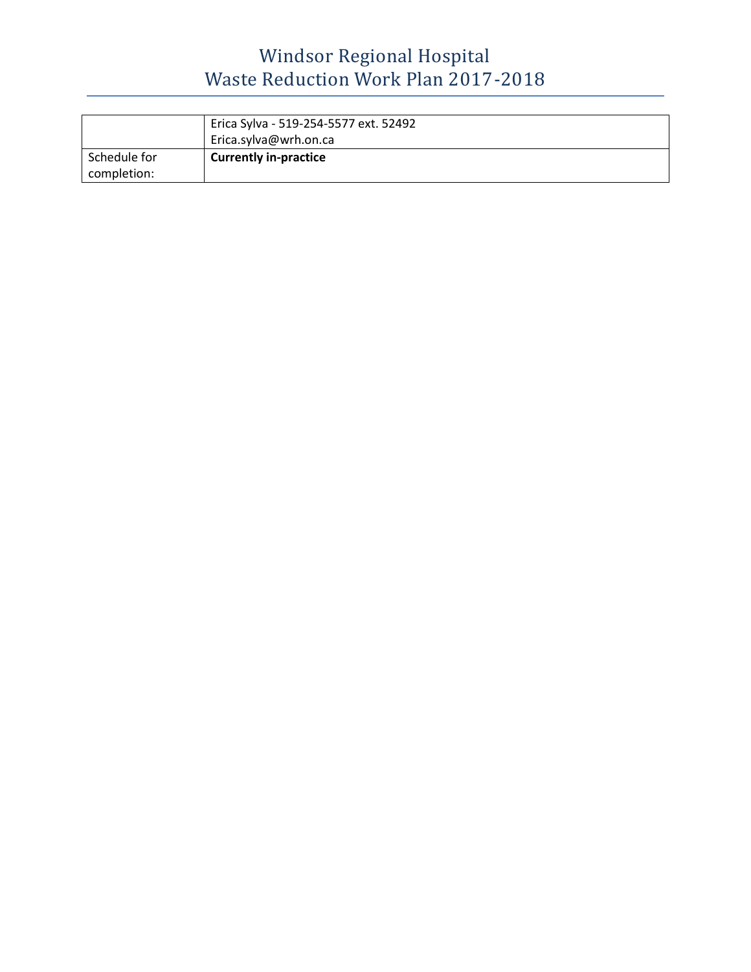|              | Erica Sylva - 519-254-5577 ext. 52492 |
|--------------|---------------------------------------|
|              | Erica.sylva@wrh.on.ca                 |
| Schedule for | <b>Currently in-practice</b>          |
| completion:  |                                       |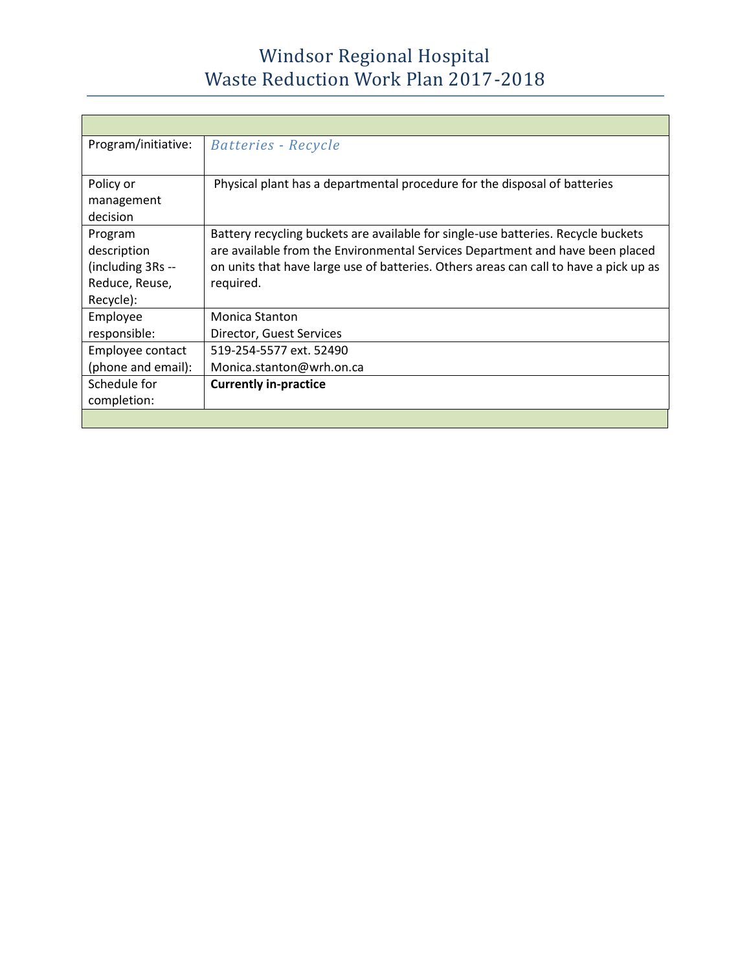| Program/initiative: | Batteries - Recycle                                                                   |
|---------------------|---------------------------------------------------------------------------------------|
|                     |                                                                                       |
| Policy or           | Physical plant has a departmental procedure for the disposal of batteries             |
| management          |                                                                                       |
| decision            |                                                                                       |
| Program             | Battery recycling buckets are available for single-use batteries. Recycle buckets     |
| description         | are available from the Environmental Services Department and have been placed         |
| (including 3Rs --   | on units that have large use of batteries. Others areas can call to have a pick up as |
| Reduce, Reuse,      | required.                                                                             |
| Recycle):           |                                                                                       |
| Employee            | Monica Stanton                                                                        |
| responsible:        | Director, Guest Services                                                              |
| Employee contact    | 519-254-5577 ext. 52490                                                               |
| (phone and email):  | Monica.stanton@wrh.on.ca                                                              |
| Schedule for        | <b>Currently in-practice</b>                                                          |
| completion:         |                                                                                       |
|                     |                                                                                       |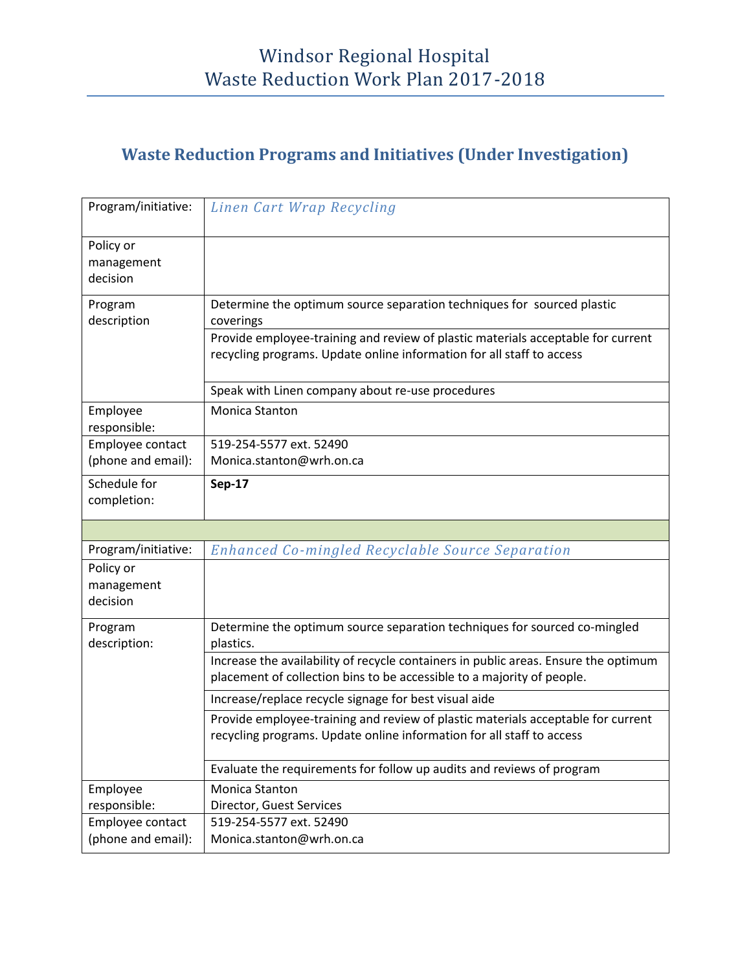#### **Waste Reduction Programs and Initiatives (Under Investigation)**

| Program/initiative:                    | Linen Cart Wrap Recycling                                                                                                                                     |
|----------------------------------------|---------------------------------------------------------------------------------------------------------------------------------------------------------------|
| Policy or<br>management<br>decision    |                                                                                                                                                               |
| Program<br>description                 | Determine the optimum source separation techniques for sourced plastic<br>coverings                                                                           |
|                                        | Provide employee-training and review of plastic materials acceptable for current<br>recycling programs. Update online information for all staff to access     |
|                                        | Speak with Linen company about re-use procedures                                                                                                              |
| Employee<br>responsible:               | <b>Monica Stanton</b>                                                                                                                                         |
| Employee contact<br>(phone and email): | 519-254-5577 ext. 52490                                                                                                                                       |
|                                        | Monica.stanton@wrh.on.ca                                                                                                                                      |
| Schedule for<br>completion:            | <b>Sep-17</b>                                                                                                                                                 |
|                                        |                                                                                                                                                               |
| Program/initiative:                    | <b>Enhanced Co-mingled Recyclable Source Separation</b>                                                                                                       |
| Policy or                              |                                                                                                                                                               |
| management<br>decision                 |                                                                                                                                                               |
| Program<br>description:                | Determine the optimum source separation techniques for sourced co-mingled<br>plastics.                                                                        |
|                                        | Increase the availability of recycle containers in public areas. Ensure the optimum<br>placement of collection bins to be accessible to a majority of people. |
|                                        | Increase/replace recycle signage for best visual aide                                                                                                         |
|                                        | Provide employee-training and review of plastic materials acceptable for current<br>recycling programs. Update online information for all staff to access     |
|                                        | Evaluate the requirements for follow up audits and reviews of program                                                                                         |
| Employee                               | <b>Monica Stanton</b>                                                                                                                                         |
| responsible:                           | Director, Guest Services                                                                                                                                      |
| Employee contact<br>(phone and email): | 519-254-5577 ext. 52490<br>Monica.stanton@wrh.on.ca                                                                                                           |